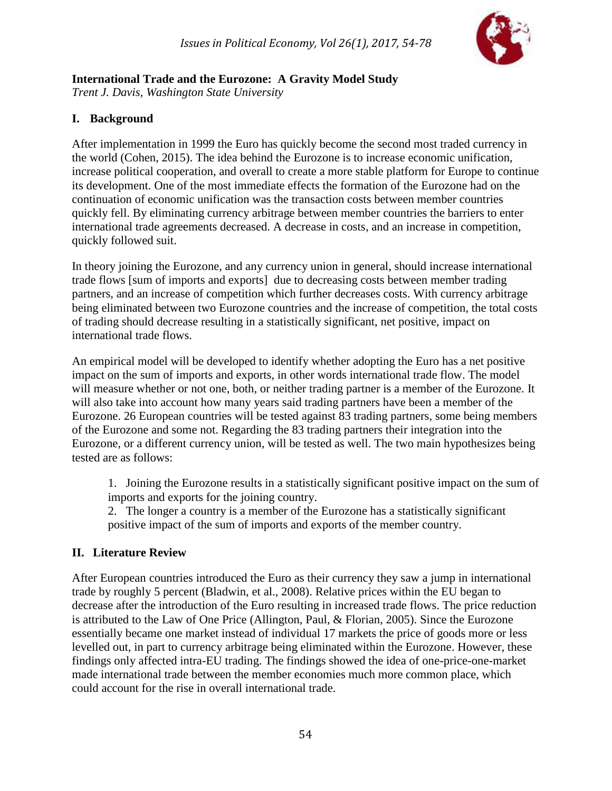

# **International Trade and the Eurozone: A Gravity Model Study**

*Trent J. Davis, Washington State University*

# **I. Background**

After implementation in 1999 the Euro has quickly become the second most traded currency in the world (Cohen, 2015). The idea behind the Eurozone is to increase economic unification, increase political cooperation, and overall to create a more stable platform for Europe to continue its development. One of the most immediate effects the formation of the Eurozone had on the continuation of economic unification was the transaction costs between member countries quickly fell. By eliminating currency arbitrage between member countries the barriers to enter international trade agreements decreased. A decrease in costs, and an increase in competition, quickly followed suit.

In theory joining the Eurozone, and any currency union in general, should increase international trade flows [sum of imports and exports] due to decreasing costs between member trading partners, and an increase of competition which further decreases costs. With currency arbitrage being eliminated between two Eurozone countries and the increase of competition, the total costs of trading should decrease resulting in a statistically significant, net positive, impact on international trade flows.

An empirical model will be developed to identify whether adopting the Euro has a net positive impact on the sum of imports and exports, in other words international trade flow. The model will measure whether or not one, both, or neither trading partner is a member of the Eurozone. It will also take into account how many years said trading partners have been a member of the Eurozone. 26 European countries will be tested against 83 trading partners, some being members of the Eurozone and some not. Regarding the 83 trading partners their integration into the Eurozone, or a different currency union, will be tested as well. The two main hypothesizes being tested are as follows:

1. Joining the Eurozone results in a statistically significant positive impact on the sum of imports and exports for the joining country.

2. The longer a country is a member of the Eurozone has a statistically significant positive impact of the sum of imports and exports of the member country.

# **II. Literature Review**

After European countries introduced the Euro as their currency they saw a jump in international trade by roughly 5 percent (Bladwin, et al., 2008). Relative prices within the EU began to decrease after the introduction of the Euro resulting in increased trade flows. The price reduction is attributed to the Law of One Price (Allington, Paul, & Florian, 2005). Since the Eurozone essentially became one market instead of individual 17 markets the price of goods more or less levelled out, in part to currency arbitrage being eliminated within the Eurozone. However, these findings only affected intra-EU trading. The findings showed the idea of one-price-one-market made international trade between the member economies much more common place, which could account for the rise in overall international trade.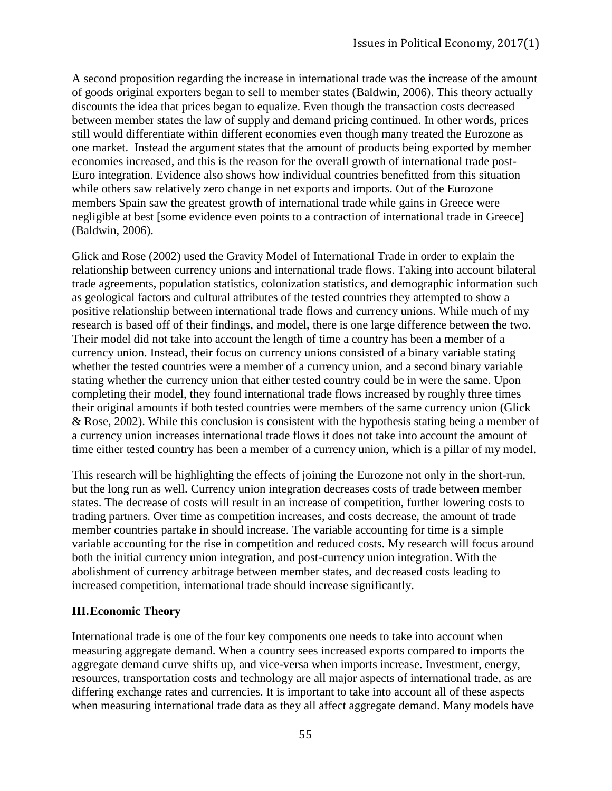A second proposition regarding the increase in international trade was the increase of the amount of goods original exporters began to sell to member states (Baldwin, 2006). This theory actually discounts the idea that prices began to equalize. Even though the transaction costs decreased between member states the law of supply and demand pricing continued. In other words, prices still would differentiate within different economies even though many treated the Eurozone as one market. Instead the argument states that the amount of products being exported by member economies increased, and this is the reason for the overall growth of international trade post-Euro integration. Evidence also shows how individual countries benefitted from this situation while others saw relatively zero change in net exports and imports. Out of the Eurozone members Spain saw the greatest growth of international trade while gains in Greece were negligible at best [some evidence even points to a contraction of international trade in Greece] (Baldwin, 2006).

Glick and Rose (2002) used the Gravity Model of International Trade in order to explain the relationship between currency unions and international trade flows. Taking into account bilateral trade agreements, population statistics, colonization statistics, and demographic information such as geological factors and cultural attributes of the tested countries they attempted to show a positive relationship between international trade flows and currency unions. While much of my research is based off of their findings, and model, there is one large difference between the two. Their model did not take into account the length of time a country has been a member of a currency union. Instead, their focus on currency unions consisted of a binary variable stating whether the tested countries were a member of a currency union, and a second binary variable stating whether the currency union that either tested country could be in were the same. Upon completing their model, they found international trade flows increased by roughly three times their original amounts if both tested countries were members of the same currency union (Glick & Rose, 2002). While this conclusion is consistent with the hypothesis stating being a member of a currency union increases international trade flows it does not take into account the amount of time either tested country has been a member of a currency union, which is a pillar of my model.

This research will be highlighting the effects of joining the Eurozone not only in the short-run, but the long run as well. Currency union integration decreases costs of trade between member states. The decrease of costs will result in an increase of competition, further lowering costs to trading partners. Over time as competition increases, and costs decrease, the amount of trade member countries partake in should increase. The variable accounting for time is a simple variable accounting for the rise in competition and reduced costs. My research will focus around both the initial currency union integration, and post-currency union integration. With the abolishment of currency arbitrage between member states, and decreased costs leading to increased competition, international trade should increase significantly.

#### **III.Economic Theory**

International trade is one of the four key components one needs to take into account when measuring aggregate demand. When a country sees increased exports compared to imports the aggregate demand curve shifts up, and vice-versa when imports increase. Investment, energy, resources, transportation costs and technology are all major aspects of international trade, as are differing exchange rates and currencies. It is important to take into account all of these aspects when measuring international trade data as they all affect aggregate demand. Many models have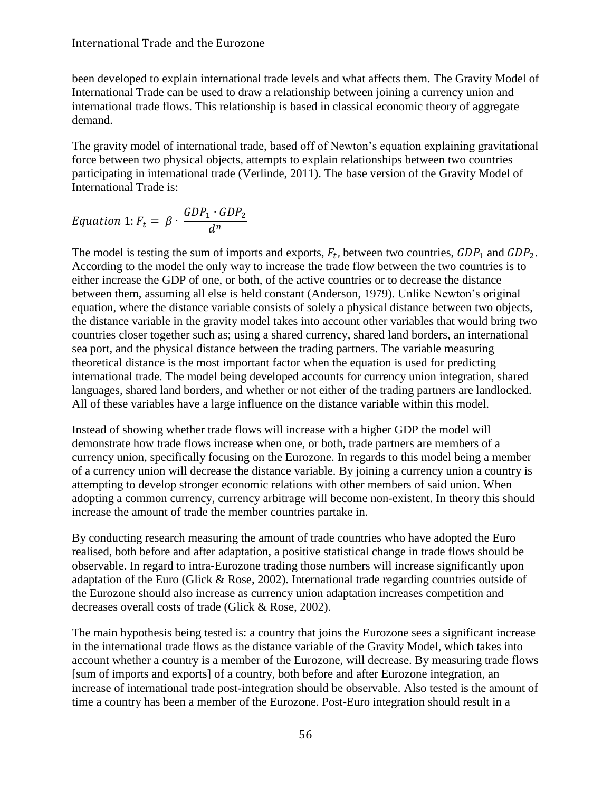#### International Trade and the Eurozone

been developed to explain international trade levels and what affects them. The Gravity Model of International Trade can be used to draw a relationship between joining a currency union and international trade flows. This relationship is based in classical economic theory of aggregate demand.

The gravity model of international trade, based off of Newton's equation explaining gravitational force between two physical objects, attempts to explain relationships between two countries participating in international trade (Verlinde, 2011). The base version of the Gravity Model of International Trade is:

$$
Equation 1: F_t = \beta \cdot \frac{GDP_1 \cdot GDP_2}{d^n}
$$

The model is testing the sum of imports and exports,  $F_t$ , between two countries,  $GDP_1$  and  $GDP_2$ . According to the model the only way to increase the trade flow between the two countries is to either increase the GDP of one, or both, of the active countries or to decrease the distance between them, assuming all else is held constant (Anderson, 1979). Unlike Newton's original equation, where the distance variable consists of solely a physical distance between two objects, the distance variable in the gravity model takes into account other variables that would bring two countries closer together such as; using a shared currency, shared land borders, an international sea port, and the physical distance between the trading partners. The variable measuring theoretical distance is the most important factor when the equation is used for predicting international trade. The model being developed accounts for currency union integration, shared languages, shared land borders, and whether or not either of the trading partners are landlocked. All of these variables have a large influence on the distance variable within this model.

Instead of showing whether trade flows will increase with a higher GDP the model will demonstrate how trade flows increase when one, or both, trade partners are members of a currency union, specifically focusing on the Eurozone. In regards to this model being a member of a currency union will decrease the distance variable. By joining a currency union a country is attempting to develop stronger economic relations with other members of said union. When adopting a common currency, currency arbitrage will become non-existent. In theory this should increase the amount of trade the member countries partake in.

By conducting research measuring the amount of trade countries who have adopted the Euro realised, both before and after adaptation, a positive statistical change in trade flows should be observable. In regard to intra-Eurozone trading those numbers will increase significantly upon adaptation of the Euro (Glick & Rose, 2002). International trade regarding countries outside of the Eurozone should also increase as currency union adaptation increases competition and decreases overall costs of trade (Glick & Rose, 2002).

The main hypothesis being tested is: a country that joins the Eurozone sees a significant increase in the international trade flows as the distance variable of the Gravity Model, which takes into account whether a country is a member of the Eurozone, will decrease. By measuring trade flows [sum of imports and exports] of a country, both before and after Eurozone integration, an increase of international trade post-integration should be observable. Also tested is the amount of time a country has been a member of the Eurozone. Post-Euro integration should result in a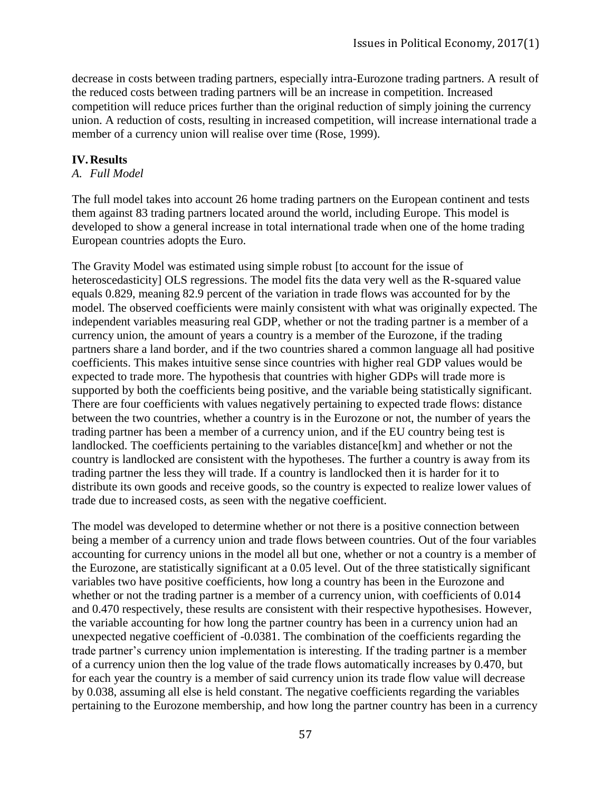decrease in costs between trading partners, especially intra-Eurozone trading partners. A result of the reduced costs between trading partners will be an increase in competition. Increased competition will reduce prices further than the original reduction of simply joining the currency union. A reduction of costs, resulting in increased competition, will increase international trade a member of a currency union will realise over time (Rose, 1999).

#### **IV.Results**

#### *A. Full Model*

The full model takes into account 26 home trading partners on the European continent and tests them against 83 trading partners located around the world, including Europe. This model is developed to show a general increase in total international trade when one of the home trading European countries adopts the Euro.

The Gravity Model was estimated using simple robust [to account for the issue of heteroscedasticity] OLS regressions. The model fits the data very well as the R-squared value equals 0.829, meaning 82.9 percent of the variation in trade flows was accounted for by the model. The observed coefficients were mainly consistent with what was originally expected. The independent variables measuring real GDP, whether or not the trading partner is a member of a currency union, the amount of years a country is a member of the Eurozone, if the trading partners share a land border, and if the two countries shared a common language all had positive coefficients. This makes intuitive sense since countries with higher real GDP values would be expected to trade more. The hypothesis that countries with higher GDPs will trade more is supported by both the coefficients being positive, and the variable being statistically significant. There are four coefficients with values negatively pertaining to expected trade flows: distance between the two countries, whether a country is in the Eurozone or not, the number of years the trading partner has been a member of a currency union, and if the EU country being test is landlocked. The coefficients pertaining to the variables distance[km] and whether or not the country is landlocked are consistent with the hypotheses. The further a country is away from its trading partner the less they will trade. If a country is landlocked then it is harder for it to distribute its own goods and receive goods, so the country is expected to realize lower values of trade due to increased costs, as seen with the negative coefficient.

The model was developed to determine whether or not there is a positive connection between being a member of a currency union and trade flows between countries. Out of the four variables accounting for currency unions in the model all but one, whether or not a country is a member of the Eurozone, are statistically significant at a 0.05 level. Out of the three statistically significant variables two have positive coefficients, how long a country has been in the Eurozone and whether or not the trading partner is a member of a currency union, with coefficients of 0.014 and 0.470 respectively, these results are consistent with their respective hypothesises. However, the variable accounting for how long the partner country has been in a currency union had an unexpected negative coefficient of -0.0381. The combination of the coefficients regarding the trade partner's currency union implementation is interesting. If the trading partner is a member of a currency union then the log value of the trade flows automatically increases by 0.470, but for each year the country is a member of said currency union its trade flow value will decrease by 0.038, assuming all else is held constant. The negative coefficients regarding the variables pertaining to the Eurozone membership, and how long the partner country has been in a currency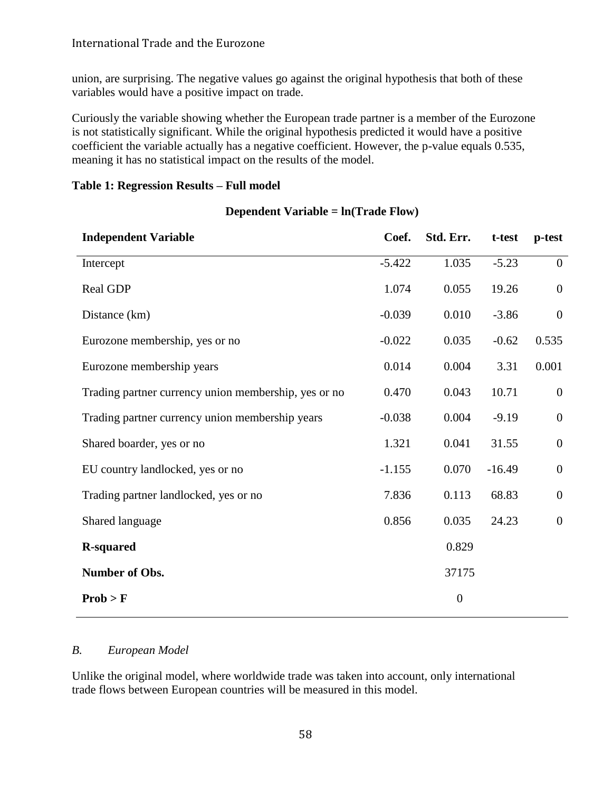union, are surprising. The negative values go against the original hypothesis that both of these variables would have a positive impact on trade.

Curiously the variable showing whether the European trade partner is a member of the Eurozone is not statistically significant. While the original hypothesis predicted it would have a positive coefficient the variable actually has a negative coefficient. However, the p-value equals 0.535, meaning it has no statistical impact on the results of the model.

| Table 1: Regression Results – Full model |  |  |
|------------------------------------------|--|--|
|                                          |  |  |

| <b>Independent Variable</b>                          | Coef.    | Std. Err.        | t-test   | p-test           |
|------------------------------------------------------|----------|------------------|----------|------------------|
| Intercept                                            | $-5.422$ | 1.035            | $-5.23$  | $\boldsymbol{0}$ |
| Real GDP                                             | 1.074    | 0.055            | 19.26    | $\mathbf{0}$     |
| Distance (km)                                        | $-0.039$ | 0.010            | $-3.86$  | $\boldsymbol{0}$ |
| Eurozone membership, yes or no                       | $-0.022$ | 0.035            | $-0.62$  | 0.535            |
| Eurozone membership years                            | 0.014    | 0.004            | 3.31     | 0.001            |
| Trading partner currency union membership, yes or no | 0.470    | 0.043            | 10.71    | $\boldsymbol{0}$ |
| Trading partner currency union membership years      | $-0.038$ | 0.004            | $-9.19$  | $\boldsymbol{0}$ |
| Shared boarder, yes or no                            | 1.321    | 0.041            | 31.55    | $\mathbf{0}$     |
| EU country landlocked, yes or no                     | $-1.155$ | 0.070            | $-16.49$ | $\boldsymbol{0}$ |
| Trading partner landlocked, yes or no                | 7.836    | 0.113            | 68.83    | $\boldsymbol{0}$ |
| Shared language                                      | 0.856    | 0.035            | 24.23    | $\boldsymbol{0}$ |
| <b>R-squared</b>                                     |          | 0.829            |          |                  |
| Number of Obs.                                       |          | 37175            |          |                  |
| Prob > F                                             |          | $\boldsymbol{0}$ |          |                  |
|                                                      |          |                  |          |                  |

#### **Dependent Variable = ln(Trade Flow)**

#### *B. European Model*

Unlike the original model, where worldwide trade was taken into account, only international trade flows between European countries will be measured in this model.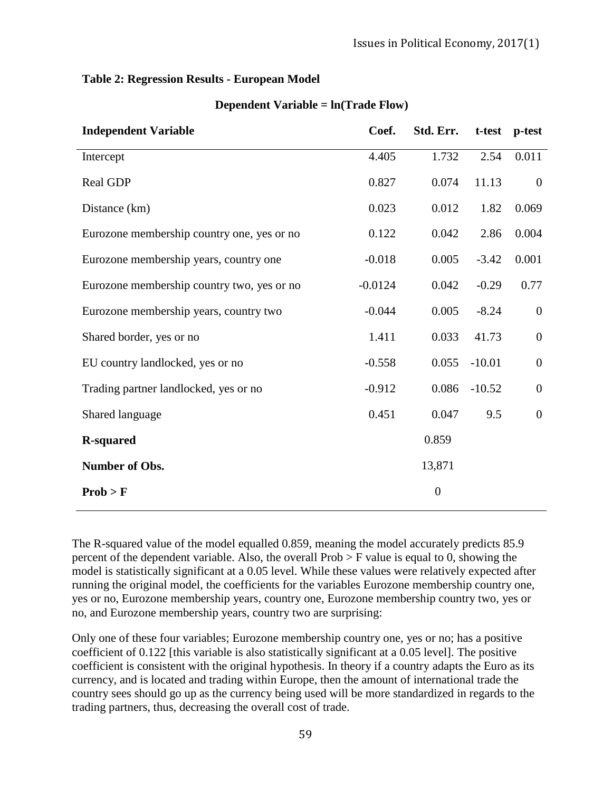#### **Table 2: Regression Results - European Model**

| <b>Independent Variable</b>                | Coef.     | Std. Err.      | t-test   | p-test           |
|--------------------------------------------|-----------|----------------|----------|------------------|
| Intercept                                  | 4.405     | 1.732          | 2.54     | 0.011            |
| Real GDP                                   | 0.827     | 0.074          | 11.13    | $\overline{0}$   |
| Distance (km)                              | 0.023     | 0.012          | 1.82     | 0.069            |
| Eurozone membership country one, yes or no | 0.122     | 0.042          | 2.86     | 0.004            |
| Eurozone membership years, country one     | $-0.018$  | 0.005          | $-3.42$  | 0.001            |
| Eurozone membership country two, yes or no | $-0.0124$ | 0.042          | $-0.29$  | 0.77             |
| Eurozone membership years, country two     | $-0.044$  | 0.005          | $-8.24$  | $\overline{0}$   |
| Shared border, yes or no                   | 1.411     | 0.033          | 41.73    | $\boldsymbol{0}$ |
| EU country landlocked, yes or no           | $-0.558$  | 0.055          | $-10.01$ | $\boldsymbol{0}$ |
| Trading partner landlocked, yes or no      | $-0.912$  | 0.086          | $-10.52$ | $\overline{0}$   |
| Shared language                            | 0.451     | 0.047          | 9.5      | $\boldsymbol{0}$ |
| <b>R-squared</b>                           |           | 0.859          |          |                  |
| Number of Obs.                             |           | 13,871         |          |                  |
| Prob > F                                   |           | $\overline{0}$ |          |                  |

#### **Dependent Variable = ln(Trade Flow)**

The R-squared value of the model equalled 0.859, meaning the model accurately predicts 85.9 percent of the dependent variable. Also, the overall  $Prob > F$  value is equal to 0, showing the model is statistically significant at a 0.05 level. While these values were relatively expected after running the original model, the coefficients for the variables Eurozone membership country one, yes or no, Eurozone membership years, country one, Eurozone membership country two, yes or no, and Eurozone membership years, country two are surprising:

Only one of these four variables; Eurozone membership country one, yes or no; has a positive coefficient of 0.122 [this variable is also statistically significant at a 0.05 level]. The positive coefficient is consistent with the original hypothesis. In theory if a country adapts the Euro as its currency, and is located and trading within Europe, then the amount of international trade the country sees should go up as the currency being used will be more standardized in regards to the trading partners, thus, decreasing the overall cost of trade.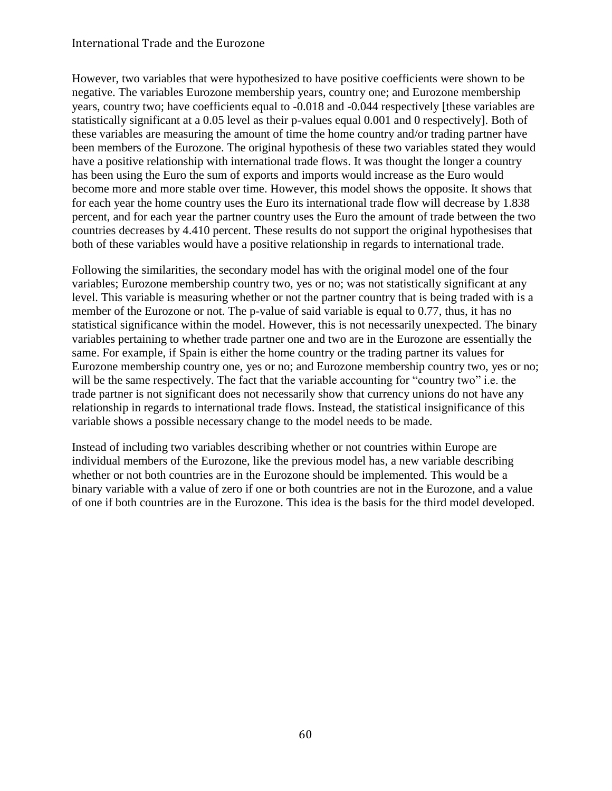#### International Trade and the Eurozone

However, two variables that were hypothesized to have positive coefficients were shown to be negative. The variables Eurozone membership years, country one; and Eurozone membership years, country two; have coefficients equal to -0.018 and -0.044 respectively [these variables are statistically significant at a 0.05 level as their p-values equal 0.001 and 0 respectively]. Both of these variables are measuring the amount of time the home country and/or trading partner have been members of the Eurozone. The original hypothesis of these two variables stated they would have a positive relationship with international trade flows. It was thought the longer a country has been using the Euro the sum of exports and imports would increase as the Euro would become more and more stable over time. However, this model shows the opposite. It shows that for each year the home country uses the Euro its international trade flow will decrease by 1.838 percent, and for each year the partner country uses the Euro the amount of trade between the two countries decreases by 4.410 percent. These results do not support the original hypothesises that both of these variables would have a positive relationship in regards to international trade.

Following the similarities, the secondary model has with the original model one of the four variables; Eurozone membership country two, yes or no; was not statistically significant at any level. This variable is measuring whether or not the partner country that is being traded with is a member of the Eurozone or not. The p-value of said variable is equal to 0.77, thus, it has no statistical significance within the model. However, this is not necessarily unexpected. The binary variables pertaining to whether trade partner one and two are in the Eurozone are essentially the same. For example, if Spain is either the home country or the trading partner its values for Eurozone membership country one, yes or no; and Eurozone membership country two, yes or no; will be the same respectively. The fact that the variable accounting for "country two" i.e. the trade partner is not significant does not necessarily show that currency unions do not have any relationship in regards to international trade flows. Instead, the statistical insignificance of this variable shows a possible necessary change to the model needs to be made.

Instead of including two variables describing whether or not countries within Europe are individual members of the Eurozone, like the previous model has, a new variable describing whether or not both countries are in the Eurozone should be implemented. This would be a binary variable with a value of zero if one or both countries are not in the Eurozone, and a value of one if both countries are in the Eurozone. This idea is the basis for the third model developed.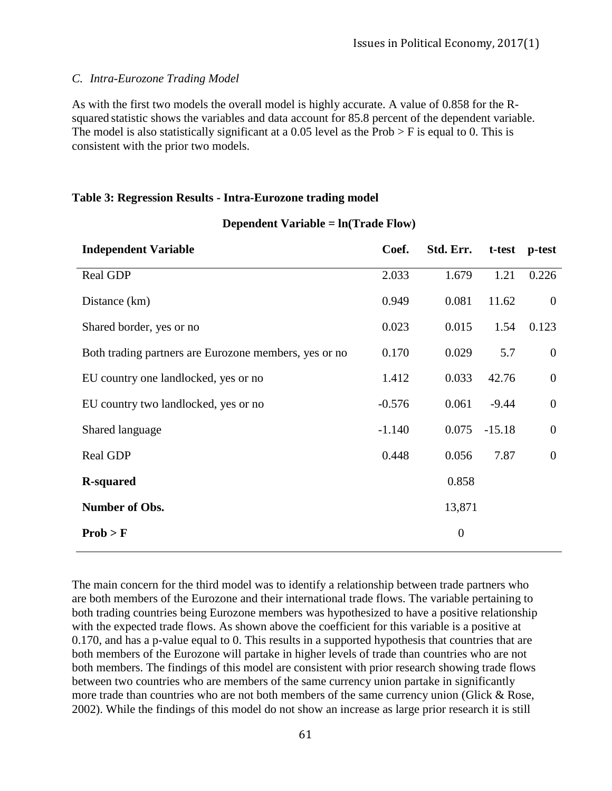#### *C. Intra-Eurozone Trading Model*

As with the first two models the overall model is highly accurate. A value of 0.858 for the Rsquared statistic shows the variables and data account for 85.8 percent of the dependent variable. The model is also statistically significant at a 0.05 level as the Prob  $>$  F is equal to 0. This is consistent with the prior two models.

#### **Table 3: Regression Results - Intra-Eurozone trading model**

| <b>Independent Variable</b>                           | Coef.    | Std. Err.        | t-test   | p-test           |
|-------------------------------------------------------|----------|------------------|----------|------------------|
| Real GDP                                              | 2.033    | 1.679            | 1.21     | 0.226            |
| Distance (km)                                         | 0.949    | 0.081            | 11.62    | $\mathbf{0}$     |
| Shared border, yes or no                              | 0.023    | 0.015            | 1.54     | 0.123            |
| Both trading partners are Eurozone members, yes or no | 0.170    | 0.029            | 5.7      | $\mathbf{0}$     |
| EU country one landlocked, yes or no                  | 1.412    | 0.033            | 42.76    | $\boldsymbol{0}$ |
| EU country two landlocked, yes or no                  | $-0.576$ | 0.061            | $-9.44$  | $\boldsymbol{0}$ |
| Shared language                                       | $-1.140$ | 0.075            | $-15.18$ | $\boldsymbol{0}$ |
| Real GDP                                              | 0.448    | 0.056            | 7.87     | $\boldsymbol{0}$ |
| <b>R-squared</b>                                      |          | 0.858            |          |                  |
| Number of Obs.                                        |          | 13,871           |          |                  |
| Prob > F                                              |          | $\boldsymbol{0}$ |          |                  |

#### **Dependent Variable = ln(Trade Flow)**

The main concern for the third model was to identify a relationship between trade partners who are both members of the Eurozone and their international trade flows. The variable pertaining to both trading countries being Eurozone members was hypothesized to have a positive relationship with the expected trade flows. As shown above the coefficient for this variable is a positive at 0.170, and has a p-value equal to 0. This results in a supported hypothesis that countries that are both members of the Eurozone will partake in higher levels of trade than countries who are not both members. The findings of this model are consistent with prior research showing trade flows between two countries who are members of the same currency union partake in significantly more trade than countries who are not both members of the same currency union (Glick & Rose, 2002). While the findings of this model do not show an increase as large prior research it is still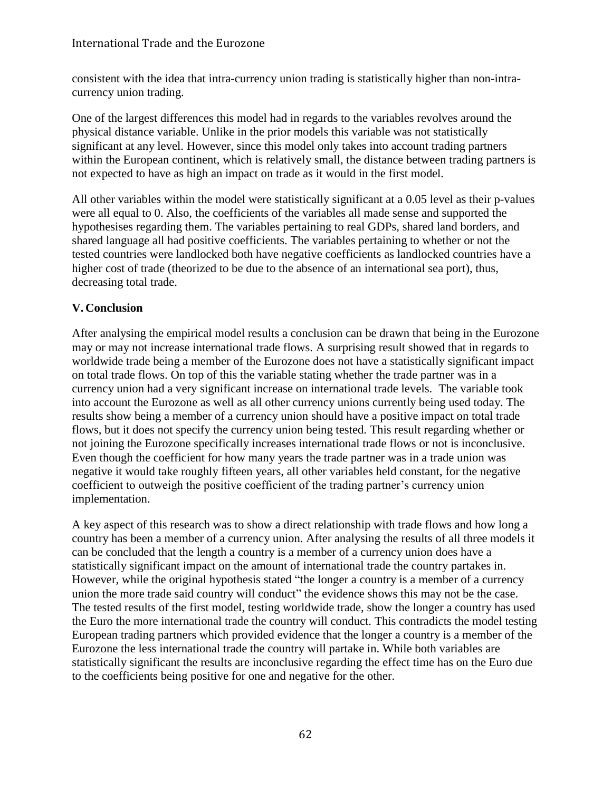consistent with the idea that intra-currency union trading is statistically higher than non-intracurrency union trading.

One of the largest differences this model had in regards to the variables revolves around the physical distance variable. Unlike in the prior models this variable was not statistically significant at any level. However, since this model only takes into account trading partners within the European continent, which is relatively small, the distance between trading partners is not expected to have as high an impact on trade as it would in the first model.

All other variables within the model were statistically significant at a 0.05 level as their p-values were all equal to 0. Also, the coefficients of the variables all made sense and supported the hypothesises regarding them. The variables pertaining to real GDPs, shared land borders, and shared language all had positive coefficients. The variables pertaining to whether or not the tested countries were landlocked both have negative coefficients as landlocked countries have a higher cost of trade (theorized to be due to the absence of an international sea port), thus, decreasing total trade.

## **V. Conclusion**

After analysing the empirical model results a conclusion can be drawn that being in the Eurozone may or may not increase international trade flows. A surprising result showed that in regards to worldwide trade being a member of the Eurozone does not have a statistically significant impact on total trade flows. On top of this the variable stating whether the trade partner was in a currency union had a very significant increase on international trade levels. The variable took into account the Eurozone as well as all other currency unions currently being used today. The results show being a member of a currency union should have a positive impact on total trade flows, but it does not specify the currency union being tested. This result regarding whether or not joining the Eurozone specifically increases international trade flows or not is inconclusive. Even though the coefficient for how many years the trade partner was in a trade union was negative it would take roughly fifteen years, all other variables held constant, for the negative coefficient to outweigh the positive coefficient of the trading partner's currency union implementation.

A key aspect of this research was to show a direct relationship with trade flows and how long a country has been a member of a currency union. After analysing the results of all three models it can be concluded that the length a country is a member of a currency union does have a statistically significant impact on the amount of international trade the country partakes in. However, while the original hypothesis stated "the longer a country is a member of a currency union the more trade said country will conduct" the evidence shows this may not be the case. The tested results of the first model, testing worldwide trade, show the longer a country has used the Euro the more international trade the country will conduct. This contradicts the model testing European trading partners which provided evidence that the longer a country is a member of the Eurozone the less international trade the country will partake in. While both variables are statistically significant the results are inconclusive regarding the effect time has on the Euro due to the coefficients being positive for one and negative for the other.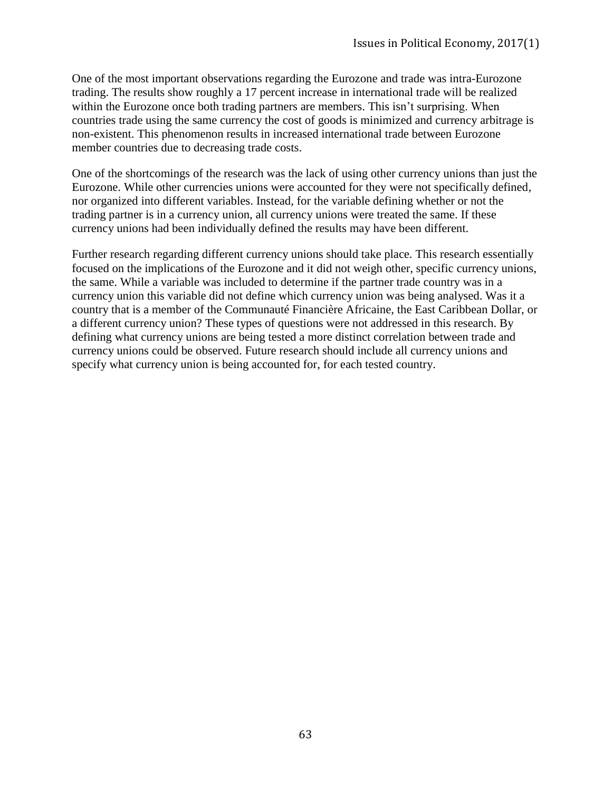One of the most important observations regarding the Eurozone and trade was intra-Eurozone trading. The results show roughly a 17 percent increase in international trade will be realized within the Eurozone once both trading partners are members. This isn't surprising. When countries trade using the same currency the cost of goods is minimized and currency arbitrage is non-existent. This phenomenon results in increased international trade between Eurozone member countries due to decreasing trade costs.

One of the shortcomings of the research was the lack of using other currency unions than just the Eurozone. While other currencies unions were accounted for they were not specifically defined, nor organized into different variables. Instead, for the variable defining whether or not the trading partner is in a currency union, all currency unions were treated the same. If these currency unions had been individually defined the results may have been different.

Further research regarding different currency unions should take place. This research essentially focused on the implications of the Eurozone and it did not weigh other, specific currency unions, the same. While a variable was included to determine if the partner trade country was in a currency union this variable did not define which currency union was being analysed. Was it a country that is a member of the Communauté Financière Africaine, the East Caribbean Dollar, or a different currency union? These types of questions were not addressed in this research. By defining what currency unions are being tested a more distinct correlation between trade and currency unions could be observed. Future research should include all currency unions and specify what currency union is being accounted for, for each tested country.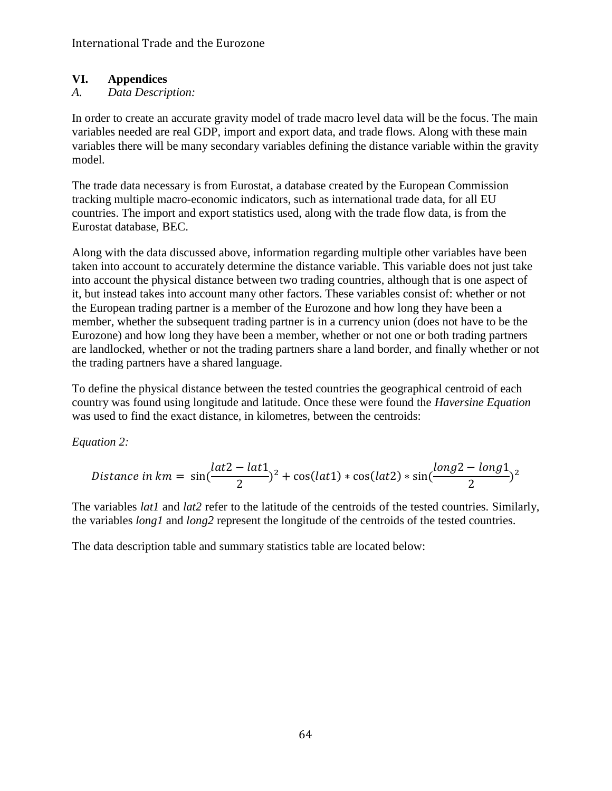# **VI. Appendices**

# *A. Data Description:*

In order to create an accurate gravity model of trade macro level data will be the focus. The main variables needed are real GDP, import and export data, and trade flows. Along with these main variables there will be many secondary variables defining the distance variable within the gravity model.

The trade data necessary is from Eurostat, a database created by the European Commission tracking multiple macro-economic indicators, such as international trade data, for all EU countries. The import and export statistics used, along with the trade flow data, is from the Eurostat database, BEC.

Along with the data discussed above, information regarding multiple other variables have been taken into account to accurately determine the distance variable. This variable does not just take into account the physical distance between two trading countries, although that is one aspect of it, but instead takes into account many other factors. These variables consist of: whether or not the European trading partner is a member of the Eurozone and how long they have been a member, whether the subsequent trading partner is in a currency union (does not have to be the Eurozone) and how long they have been a member, whether or not one or both trading partners are landlocked, whether or not the trading partners share a land border, and finally whether or not the trading partners have a shared language.

To define the physical distance between the tested countries the geographical centroid of each country was found using longitude and latitude. Once these were found the *Haversine Equation* was used to find the exact distance, in kilometres, between the centroids:

*Equation 2:*

Distance in km = 
$$
\sin(\frac{lat2 - lat1}{2})^2 + \cos(lat1) * \cos(lat2) * \sin(\frac{long2 - long1}{2})^2
$$

The variables *lat1* and *lat2* refer to the latitude of the centroids of the tested countries. Similarly, the variables *long1* and *long2* represent the longitude of the centroids of the tested countries.

The data description table and summary statistics table are located below: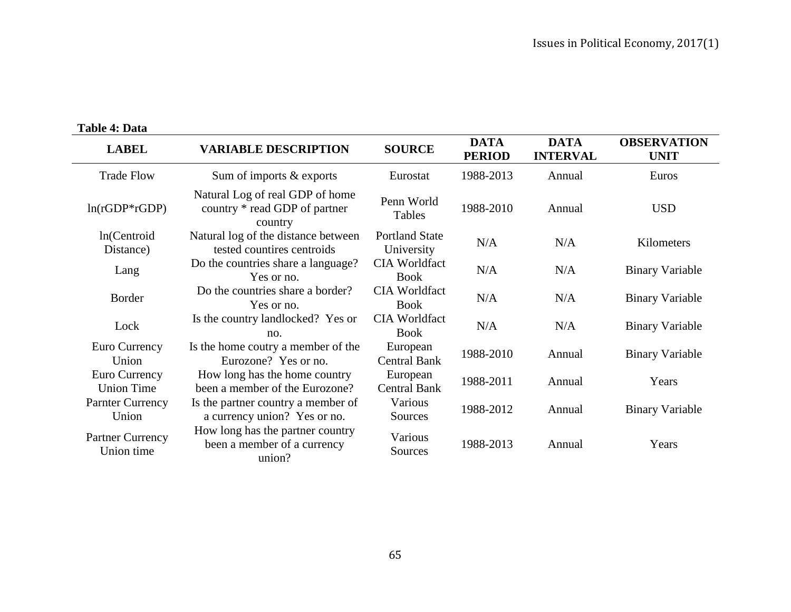# **Table 4: Data**

| <b>LABEL</b>                          | <b>VARIABLE DESCRIPTION</b>                                                 | <b>SOURCE</b>                       | <b>DATA</b><br><b>PERIOD</b> | <b>DATA</b><br><b>INTERVAL</b> | <b>OBSERVATION</b><br><b>UNIT</b> |
|---------------------------------------|-----------------------------------------------------------------------------|-------------------------------------|------------------------------|--------------------------------|-----------------------------------|
| <b>Trade Flow</b>                     | Sum of imports & exports                                                    | Eurostat                            | 1988-2013                    | Annual                         | Euros                             |
| $ln(rGDP*rGDP)$                       | Natural Log of real GDP of home<br>country * read GDP of partner<br>country | Penn World<br>Tables                | 1988-2010                    | Annual                         | <b>USD</b>                        |
| ln(Centroid<br>Distance)              | Natural log of the distance between<br>tested countires centroids           | <b>Portland State</b><br>University | N/A                          | N/A                            | Kilometers                        |
| Lang                                  | Do the countries share a language?<br>Yes or no.                            | <b>CIA Worldfact</b><br><b>Book</b> | N/A                          | N/A                            | <b>Binary Variable</b>            |
| <b>Border</b>                         | Do the countries share a border?<br>Yes or no.                              | <b>CIA Worldfact</b><br><b>Book</b> | N/A                          | N/A                            | <b>Binary Variable</b>            |
| Lock                                  | Is the country landlocked? Yes or<br>no.                                    | <b>CIA Worldfact</b><br><b>Book</b> | N/A                          | N/A                            | <b>Binary Variable</b>            |
| Euro Currency<br>Union                | Is the home coutry a member of the<br>Eurozone? Yes or no.                  | European<br><b>Central Bank</b>     | 1988-2010                    | Annual                         | <b>Binary Variable</b>            |
| Euro Currency<br><b>Union Time</b>    | How long has the home country<br>been a member of the Eurozone?             | European<br><b>Central Bank</b>     | 1988-2011                    | Annual                         | Years                             |
| <b>Parnter Currency</b><br>Union      | Is the partner country a member of<br>a currency union? Yes or no.          | Various<br>Sources                  | 1988-2012                    | Annual                         | <b>Binary Variable</b>            |
| <b>Partner Currency</b><br>Union time | How long has the partner country<br>been a member of a currency<br>union?   | Various<br>Sources                  | 1988-2013                    | Annual                         | Years                             |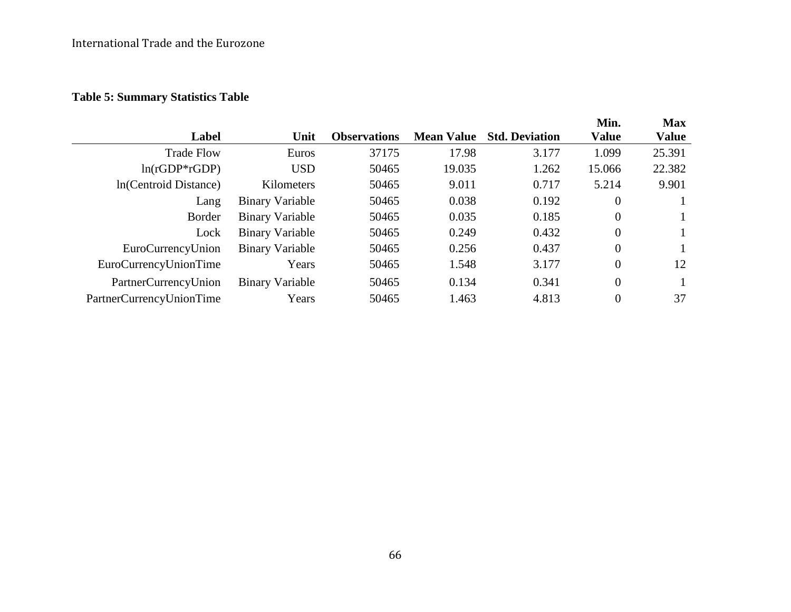# International Trade and the Eurozone

# **Table 5: Summary Statistics Table**

|                        |                     |                   |                       |                | <b>Max</b>   |
|------------------------|---------------------|-------------------|-----------------------|----------------|--------------|
| Unit                   | <b>Observations</b> | <b>Mean Value</b> | <b>Std. Deviation</b> | <b>Value</b>   | <b>Value</b> |
| Euros                  | 37175               | 17.98             | 3.177                 | 1.099          | 25.391       |
| <b>USD</b>             | 50465               | 19.035            | 1.262                 | 15.066         | 22.382       |
| Kilometers             | 50465               | 9.011             | 0.717                 | 5.214          | 9.901        |
| Binary Variable        | 50465               | 0.038             | 0.192                 | $\theta$       |              |
| <b>Binary Variable</b> | 50465               | 0.035             | 0.185                 | $\theta$       |              |
| <b>Binary Variable</b> | 50465               | 0.249             | 0.432                 | $\overline{0}$ |              |
| <b>Binary Variable</b> | 50465               | 0.256             | 0.437                 | $\theta$       |              |
| Years                  | 50465               | 1.548             | 3.177                 | $\theta$       | 12           |
| <b>Binary Variable</b> | 50465               | 0.134             | 0.341                 | $\overline{0}$ |              |
| Years                  | 50465               | 1.463             | 4.813                 | $\overline{0}$ | 37           |
|                        |                     |                   |                       |                | Min.         |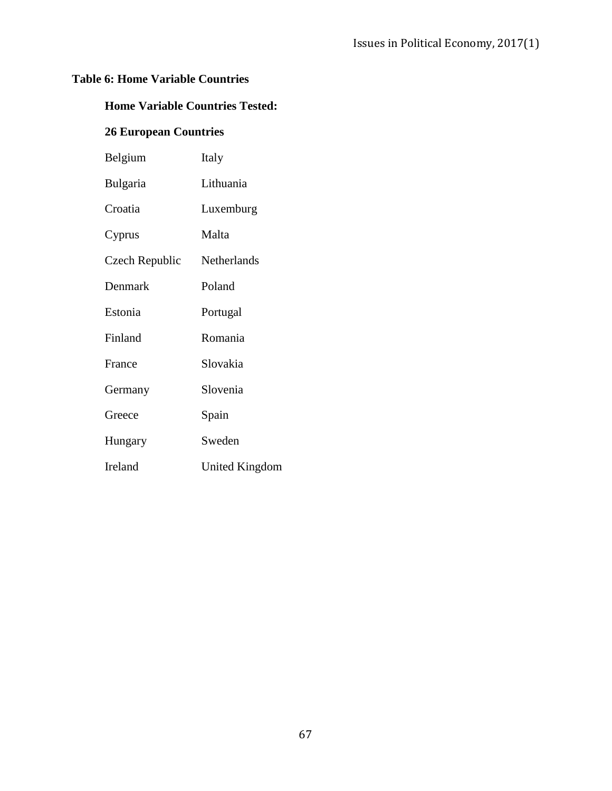# **Table 6: Home Variable Countries**

# **Home Variable Countries Tested:**

# **26 European Countries**

| Belgium         | Italy          |
|-----------------|----------------|
| <b>Bulgaria</b> | Lithuania      |
| Croatia         | Luxemburg      |
| Cyprus          | Malta          |
| Czech Republic  | Netherlands    |
| Denmark         | Poland         |
| Estonia         | Portugal       |
| Finland         | Romania        |
| France          | Slovakia       |
| Germany         | Slovenia       |
| Greece          | Spain          |
| Hungary         | Sweden         |
| Ireland         | United Kingdom |
|                 |                |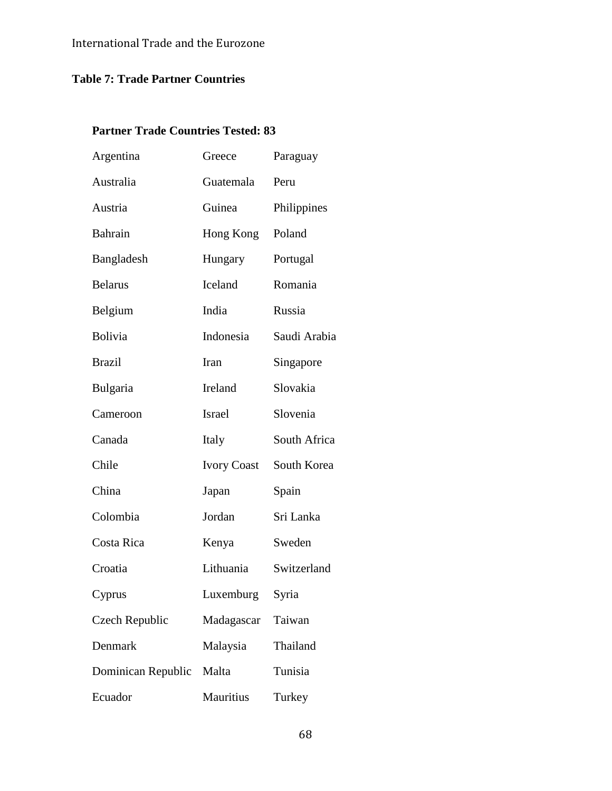# **Table 7: Trade Partner Countries**

# **Partner Trade Countries Tested: 83**

| Argentina          | Greece             | Paraguay     |
|--------------------|--------------------|--------------|
| Australia          | Guatemala          | Peru         |
| Austria            | Guinea             | Philippines  |
| <b>Bahrain</b>     | Hong Kong          | Poland       |
| Bangladesh         | Hungary            | Portugal     |
| <b>Belarus</b>     | Iceland            | Romania      |
| Belgium            | India              | Russia       |
| Bolivia            | Indonesia          | Saudi Arabia |
| <b>Brazil</b>      | Iran               | Singapore    |
| Bulgaria           | Ireland            | Slovakia     |
| Cameroon           | <b>Israel</b>      | Slovenia     |
| Canada             | Italy              | South Africa |
| Chile              | <b>Ivory Coast</b> | South Korea  |
| China              | Japan              | Spain        |
| Colombia           | Jordan             | Sri Lanka    |
| Costa Rica         | Kenya              | Sweden       |
| Croatia            | Lithuania          | Switzerland  |
| Cyprus             | Luxemburg          | Syria        |
| Czech Republic     | Madagascar         | Taiwan       |
| Denmark            | Malaysia           | Thailand     |
| Dominican Republic | Malta              | Tunisia      |
| Ecuador            | Mauritius          | Turkey       |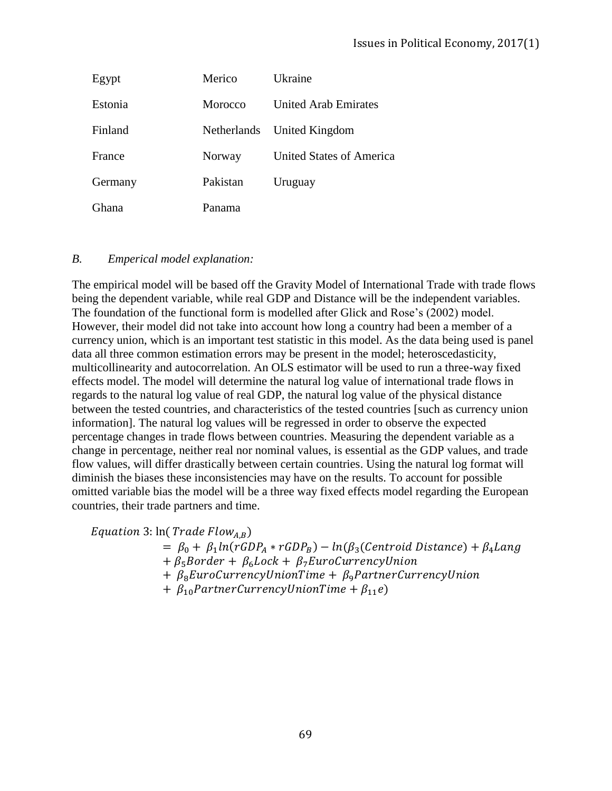| Egypt   | Merico      | Ukraine                         |
|---------|-------------|---------------------------------|
| Estonia | Morocco     | <b>United Arab Emirates</b>     |
| Finland | Netherlands | United Kingdom                  |
| France  | Norway      | <b>United States of America</b> |
| Germany | Pakistan    | Uruguay                         |
| . Thana | Panama      |                                 |

#### *B. Emperical model explanation:*

The empirical model will be based off the Gravity Model of International Trade with trade flows being the dependent variable, while real GDP and Distance will be the independent variables. The foundation of the functional form is modelled after Glick and Rose's (2002) model. However, their model did not take into account how long a country had been a member of a currency union, which is an important test statistic in this model. As the data being used is panel data all three common estimation errors may be present in the model; heteroscedasticity, multicollinearity and autocorrelation. An OLS estimator will be used to run a three-way fixed effects model. The model will determine the natural log value of international trade flows in regards to the natural log value of real GDP, the natural log value of the physical distance between the tested countries, and characteristics of the tested countries [such as currency union information]. The natural log values will be regressed in order to observe the expected percentage changes in trade flows between countries. Measuring the dependent variable as a change in percentage, neither real nor nominal values, is essential as the GDP values, and trade flow values, will differ drastically between certain countries. Using the natural log format will diminish the biases these inconsistencies may have on the results. To account for possible omitted variable bias the model will be a three way fixed effects model regarding the European countries, their trade partners and time.

Equation 3:  $ln(Trade Flow<sub>A,B</sub>)$ 

 $= \beta_0 + \beta_1 ln(rGDP_A * rGDP_B) - ln(\beta_3(Centroid Distance) + \beta_4 Lang$  $+ \beta_5$ Border +  $\beta_6$ Lock +  $\beta_7$ EuroCurrencyUnion  $+ \beta_8 EuroCurrent$  UnionTime  $+ \beta_9 Partner Currenc$  yUnion +  $\beta_{10}$  Partner Currency Union Time +  $\beta_{11}$ e)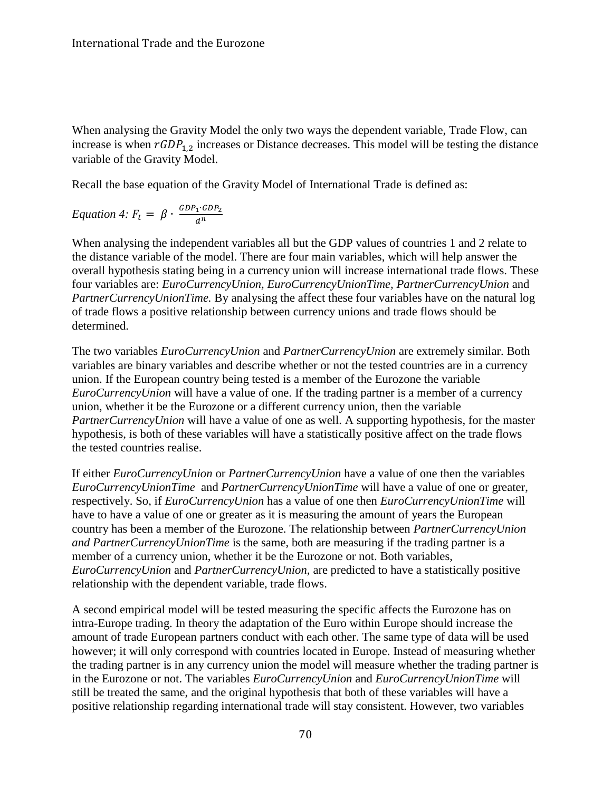When analysing the Gravity Model the only two ways the dependent variable, Trade Flow, can increase is when  $rGDP_{1,2}$  increases or Distance decreases. This model will be testing the distance variable of the Gravity Model.

Recall the base equation of the Gravity Model of International Trade is defined as:

Equation 4: 
$$
F_t = \beta \cdot \frac{GDP_1 \cdot GDP_2}{d^n}
$$

When analysing the independent variables all but the GDP values of countries 1 and 2 relate to the distance variable of the model. There are four main variables, which will help answer the overall hypothesis stating being in a currency union will increase international trade flows. These four variables are: *EuroCurrencyUnion, EuroCurrencyUnionTime, PartnerCurrencyUnion* and *PartnerCurrencyUnionTime.* By analysing the affect these four variables have on the natural log of trade flows a positive relationship between currency unions and trade flows should be determined.

The two variables *EuroCurrencyUnion* and *PartnerCurrencyUnion* are extremely similar. Both variables are binary variables and describe whether or not the tested countries are in a currency union. If the European country being tested is a member of the Eurozone the variable *EuroCurrencyUnion* will have a value of one. If the trading partner is a member of a currency union, whether it be the Eurozone or a different currency union, then the variable *PartnerCurrencyUnion* will have a value of one as well. A supporting hypothesis, for the master hypothesis, is both of these variables will have a statistically positive affect on the trade flows the tested countries realise.

If either *EuroCurrencyUnion* or *PartnerCurrencyUnion* have a value of one then the variables *EuroCurrencyUnionTime* and *PartnerCurrencyUnionTime* will have a value of one or greater, respectively. So, if *EuroCurrencyUnion* has a value of one then *EuroCurrencyUnionTime* will have to have a value of one or greater as it is measuring the amount of years the European country has been a member of the Eurozone. The relationship between *PartnerCurrencyUnion and PartnerCurrencyUnionTime* is the same, both are measuring if the trading partner is a member of a currency union, whether it be the Eurozone or not. Both variables, *EuroCurrencyUnion* and *PartnerCurrencyUnion,* are predicted to have a statistically positive relationship with the dependent variable, trade flows.

A second empirical model will be tested measuring the specific affects the Eurozone has on intra-Europe trading. In theory the adaptation of the Euro within Europe should increase the amount of trade European partners conduct with each other. The same type of data will be used however; it will only correspond with countries located in Europe. Instead of measuring whether the trading partner is in any currency union the model will measure whether the trading partner is in the Eurozone or not. The variables *EuroCurrencyUnion* and *EuroCurrencyUnionTime* will still be treated the same, and the original hypothesis that both of these variables will have a positive relationship regarding international trade will stay consistent. However, two variables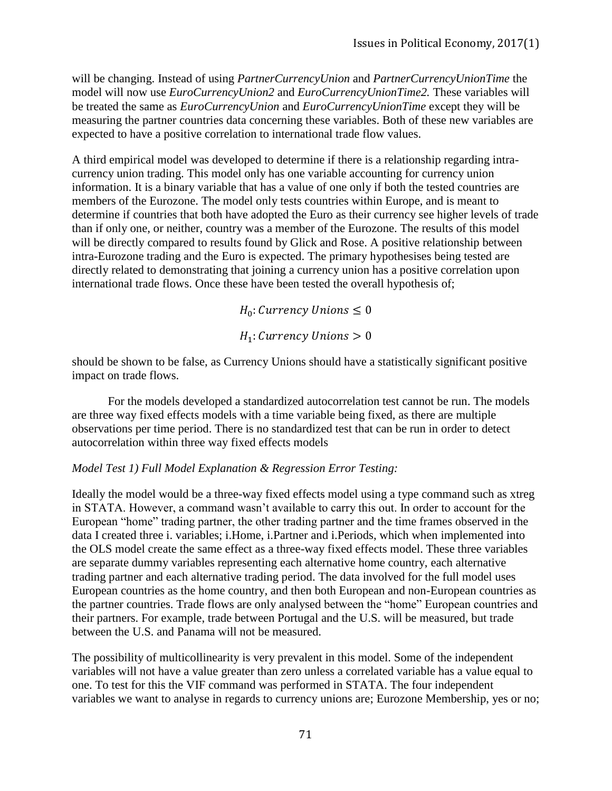will be changing. Instead of using *PartnerCurrencyUnion* and *PartnerCurrencyUnionTime* the model will now use *EuroCurrencyUnion2* and *EuroCurrencyUnionTime2.* These variables will be treated the same as *EuroCurrencyUnion* and *EuroCurrencyUnionTime* except they will be measuring the partner countries data concerning these variables. Both of these new variables are expected to have a positive correlation to international trade flow values.

A third empirical model was developed to determine if there is a relationship regarding intracurrency union trading. This model only has one variable accounting for currency union information. It is a binary variable that has a value of one only if both the tested countries are members of the Eurozone. The model only tests countries within Europe, and is meant to determine if countries that both have adopted the Euro as their currency see higher levels of trade than if only one, or neither, country was a member of the Eurozone. The results of this model will be directly compared to results found by Glick and Rose. A positive relationship between intra-Eurozone trading and the Euro is expected. The primary hypothesises being tested are directly related to demonstrating that joining a currency union has a positive correlation upon international trade flows. Once these have been tested the overall hypothesis of;

 $H_0$ : Currency Unions  $\leq 0$ 

 $H_1$ : Currency Unions > 0

should be shown to be false, as Currency Unions should have a statistically significant positive impact on trade flows.

For the models developed a standardized autocorrelation test cannot be run. The models are three way fixed effects models with a time variable being fixed, as there are multiple observations per time period. There is no standardized test that can be run in order to detect autocorrelation within three way fixed effects models

#### *Model Test 1) Full Model Explanation & Regression Error Testing:*

Ideally the model would be a three-way fixed effects model using a type command such as xtreg in STATA. However, a command wasn't available to carry this out. In order to account for the European "home" trading partner, the other trading partner and the time frames observed in the data I created three i. variables; i.Home, i.Partner and i.Periods, which when implemented into the OLS model create the same effect as a three-way fixed effects model. These three variables are separate dummy variables representing each alternative home country, each alternative trading partner and each alternative trading period. The data involved for the full model uses European countries as the home country, and then both European and non-European countries as the partner countries. Trade flows are only analysed between the "home" European countries and their partners. For example, trade between Portugal and the U.S. will be measured, but trade between the U.S. and Panama will not be measured.

The possibility of multicollinearity is very prevalent in this model. Some of the independent variables will not have a value greater than zero unless a correlated variable has a value equal to one. To test for this the VIF command was performed in STATA. The four independent variables we want to analyse in regards to currency unions are; Eurozone Membership, yes or no;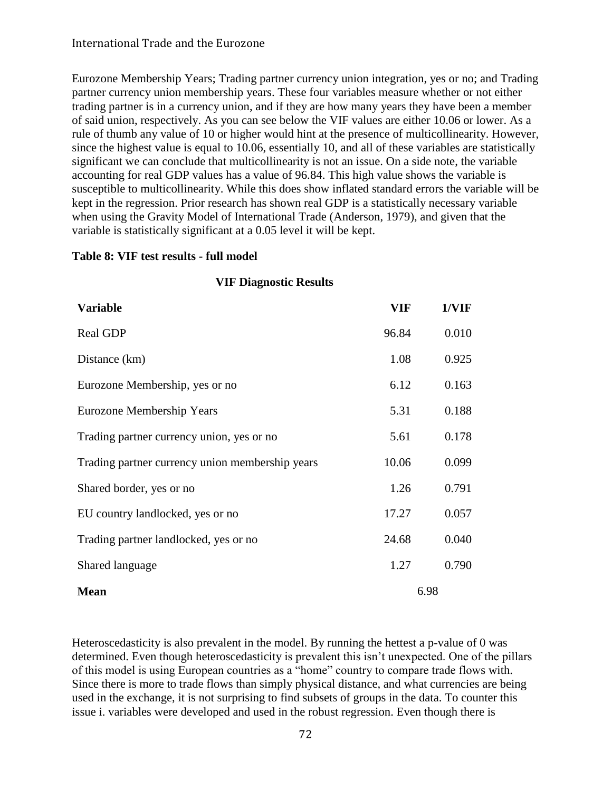Eurozone Membership Years; Trading partner currency union integration, yes or no; and Trading partner currency union membership years. These four variables measure whether or not either trading partner is in a currency union, and if they are how many years they have been a member of said union, respectively. As you can see below the VIF values are either 10.06 or lower. As a rule of thumb any value of 10 or higher would hint at the presence of multicollinearity. However, since the highest value is equal to 10.06, essentially 10, and all of these variables are statistically significant we can conclude that multicollinearity is not an issue. On a side note, the variable accounting for real GDP values has a value of 96.84. This high value shows the variable is susceptible to multicollinearity. While this does show inflated standard errors the variable will be kept in the regression. Prior research has shown real GDP is a statistically necessary variable when using the Gravity Model of International Trade (Anderson, 1979), and given that the variable is statistically significant at a 0.05 level it will be kept.

#### **Table 8: VIF test results - full model**

# **Variable VIF 1/VIF** Real GDP 96.84 0.010 Distance (km) 1.08 0.925 Eurozone Membership, yes or no 6.12 0.163 Eurozone Membership Years 5.31 0.188 Trading partner currency union, yes or no 5.61 0.178 Trading partner currency union membership years 10.06 0.099 Shared border, yes or no 1.26 0.791 EU country landlocked, yes or no 17.27 0.057 Trading partner landlocked, yes or no 24.68 0.040 Shared language 1.27 0.790 **Mean** 6.98

**VIF Diagnostic Results**

#### Heteroscedasticity is also prevalent in the model. By running the hettest a p-value of 0 was determined. Even though heteroscedasticity is prevalent this isn't unexpected. One of the pillars of this model is using European countries as a "home" country to compare trade flows with. Since there is more to trade flows than simply physical distance, and what currencies are being used in the exchange, it is not surprising to find subsets of groups in the data. To counter this issue i. variables were developed and used in the robust regression. Even though there is

#### 72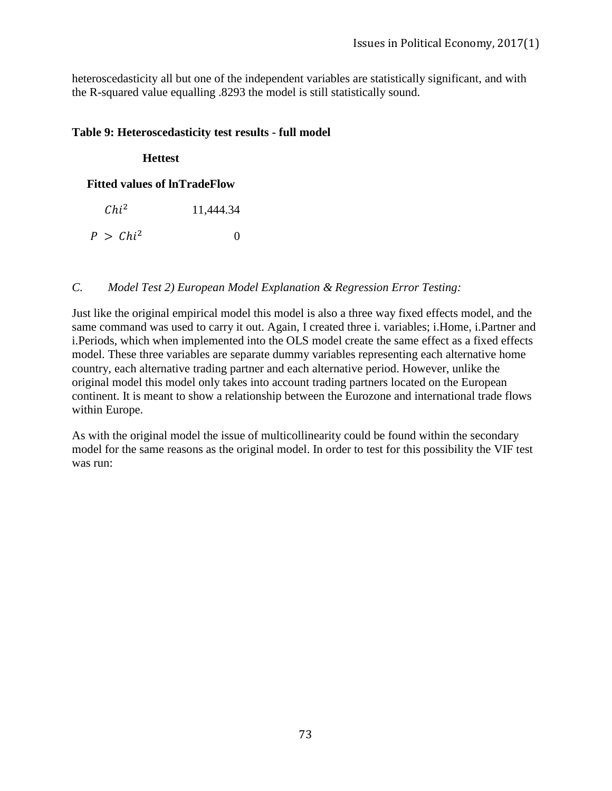heteroscedasticity all but one of the independent variables are statistically significant, and with the R-squared value equalling .8293 the model is still statistically sound.

#### **Table 9: Heteroscedasticity test results - full model**

#### **Hettest**

#### **Fitted values of lnTradeFlow**

| $Chi^2$     | 11,444.34 |
|-------------|-----------|
| $P > Chi^2$ | $\theta$  |

#### *C. Model Test 2) European Model Explanation & Regression Error Testing:*

Just like the original empirical model this model is also a three way fixed effects model, and the same command was used to carry it out. Again, I created three i. variables; i.Home, i.Partner and i.Periods, which when implemented into the OLS model create the same effect as a fixed effects model. These three variables are separate dummy variables representing each alternative home country, each alternative trading partner and each alternative period. However, unlike the original model this model only takes into account trading partners located on the European continent. It is meant to show a relationship between the Eurozone and international trade flows within Europe.

As with the original model the issue of multicollinearity could be found within the secondary model for the same reasons as the original model. In order to test for this possibility the VIF test was run: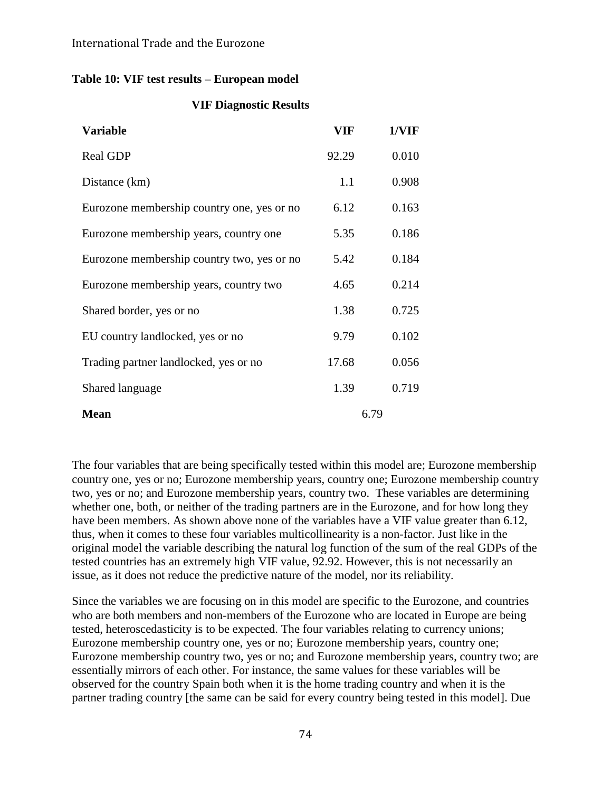#### **Table 10: VIF test results – European model**

#### **VIF Diagnostic Results**

| <b>Variable</b>                            | VIF   | 1/VIF |
|--------------------------------------------|-------|-------|
| <b>Real GDP</b>                            | 92.29 | 0.010 |
| Distance (km)                              | 1.1   | 0.908 |
| Eurozone membership country one, yes or no | 6.12  | 0.163 |
| Eurozone membership years, country one     | 5.35  | 0.186 |
| Eurozone membership country two, yes or no | 5.42  | 0.184 |
| Eurozone membership years, country two     | 4.65  | 0.214 |
| Shared border, yes or no                   | 1.38  | 0.725 |
| EU country landlocked, yes or no           | 9.79  | 0.102 |
| Trading partner landlocked, yes or no      | 17.68 | 0.056 |
| Shared language                            | 1.39  | 0.719 |
| <b>Mean</b>                                |       | 6.79  |

The four variables that are being specifically tested within this model are; Eurozone membership country one, yes or no; Eurozone membership years, country one; Eurozone membership country two, yes or no; and Eurozone membership years, country two. These variables are determining whether one, both, or neither of the trading partners are in the Eurozone, and for how long they have been members. As shown above none of the variables have a VIF value greater than 6.12, thus, when it comes to these four variables multicollinearity is a non-factor. Just like in the original model the variable describing the natural log function of the sum of the real GDPs of the tested countries has an extremely high VIF value, 92.92. However, this is not necessarily an issue, as it does not reduce the predictive nature of the model, nor its reliability.

Since the variables we are focusing on in this model are specific to the Eurozone, and countries who are both members and non-members of the Eurozone who are located in Europe are being tested, heteroscedasticity is to be expected. The four variables relating to currency unions; Eurozone membership country one, yes or no; Eurozone membership years, country one; Eurozone membership country two, yes or no; and Eurozone membership years, country two; are essentially mirrors of each other. For instance, the same values for these variables will be observed for the country Spain both when it is the home trading country and when it is the partner trading country [the same can be said for every country being tested in this model]. Due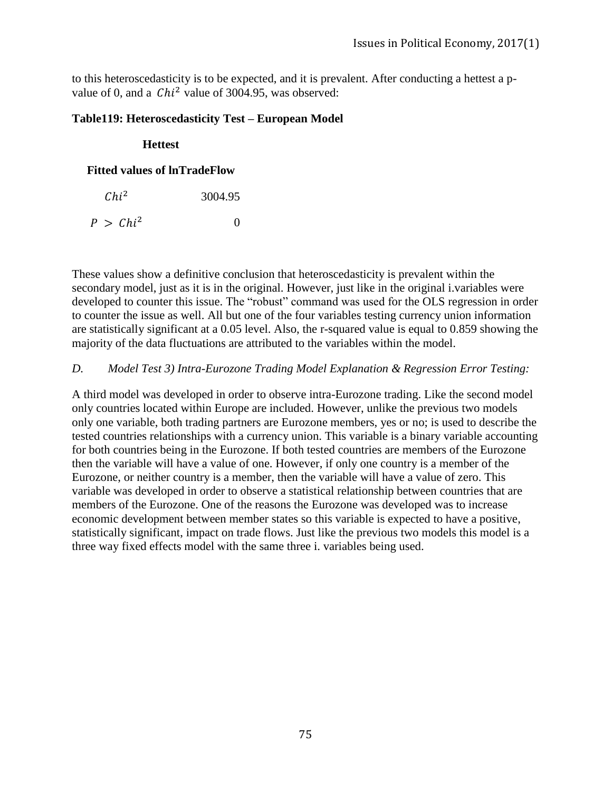to this heteroscedasticity is to be expected, and it is prevalent. After conducting a hettest a pvalue of 0, and a  $Chi^2$  value of 3004.95, was observed:

#### **Table119: Heteroscedasticity Test – European Model**

#### **Hettest**

#### **Fitted values of lnTradeFlow**

| $Chi^2$ | 3004.95 |  |
|---------|---------|--|
|         |         |  |

These values show a definitive conclusion that heteroscedasticity is prevalent within the secondary model, just as it is in the original. However, just like in the original i.variables were developed to counter this issue. The "robust" command was used for the OLS regression in order to counter the issue as well. All but one of the four variables testing currency union information are statistically significant at a 0.05 level. Also, the r-squared value is equal to 0.859 showing the majority of the data fluctuations are attributed to the variables within the model.

#### *D. Model Test 3) Intra-Eurozone Trading Model Explanation & Regression Error Testing:*

A third model was developed in order to observe intra-Eurozone trading. Like the second model only countries located within Europe are included. However, unlike the previous two models only one variable, both trading partners are Eurozone members, yes or no; is used to describe the tested countries relationships with a currency union. This variable is a binary variable accounting for both countries being in the Eurozone. If both tested countries are members of the Eurozone then the variable will have a value of one. However, if only one country is a member of the Eurozone, or neither country is a member, then the variable will have a value of zero. This variable was developed in order to observe a statistical relationship between countries that are members of the Eurozone. One of the reasons the Eurozone was developed was to increase economic development between member states so this variable is expected to have a positive, statistically significant, impact on trade flows. Just like the previous two models this model is a three way fixed effects model with the same three i. variables being used.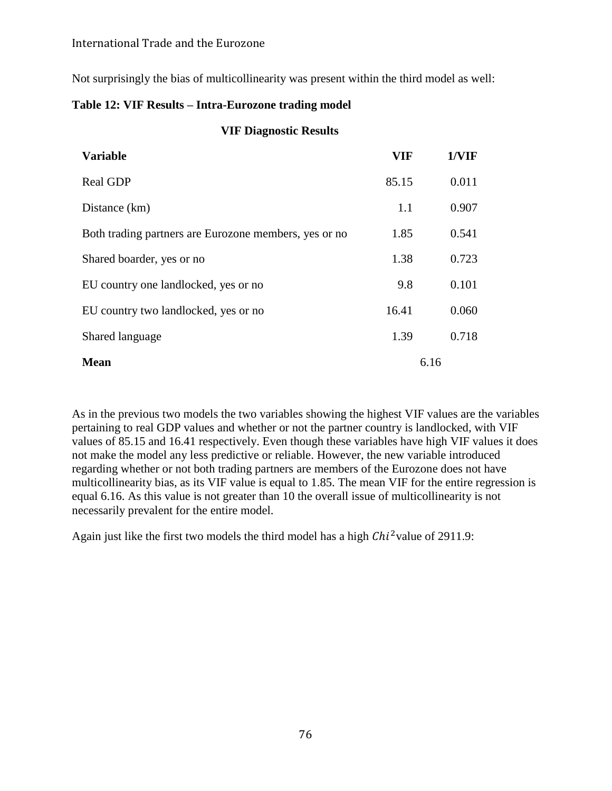#### International Trade and the Eurozone

Not surprisingly the bias of multicollinearity was present within the third model as well:

#### **Table 12: VIF Results – Intra-Eurozone trading model**

#### **VIF Diagnostic Results**

| <b>Variable</b>                                       | <b>VIF</b> | 1/VIF |
|-------------------------------------------------------|------------|-------|
| <b>Real GDP</b>                                       | 85.15      | 0.011 |
| Distance (km)                                         | 1.1        | 0.907 |
| Both trading partners are Eurozone members, yes or no | 1.85       | 0.541 |
| Shared boarder, yes or no                             | 1.38       | 0.723 |
| EU country one landlocked, yes or no                  | 9.8        | 0.101 |
| EU country two landlocked, yes or no                  | 16.41      | 0.060 |
| Shared language                                       | 1.39       | 0.718 |
| <b>Mean</b>                                           |            | 6.16  |

As in the previous two models the two variables showing the highest VIF values are the variables pertaining to real GDP values and whether or not the partner country is landlocked, with VIF values of 85.15 and 16.41 respectively. Even though these variables have high VIF values it does not make the model any less predictive or reliable. However, the new variable introduced regarding whether or not both trading partners are members of the Eurozone does not have multicollinearity bias, as its VIF value is equal to 1.85. The mean VIF for the entire regression is equal 6.16. As this value is not greater than 10 the overall issue of multicollinearity is not necessarily prevalent for the entire model.

Again just like the first two models the third model has a high  $\mathcal{C}hi^2$  value of 2911.9: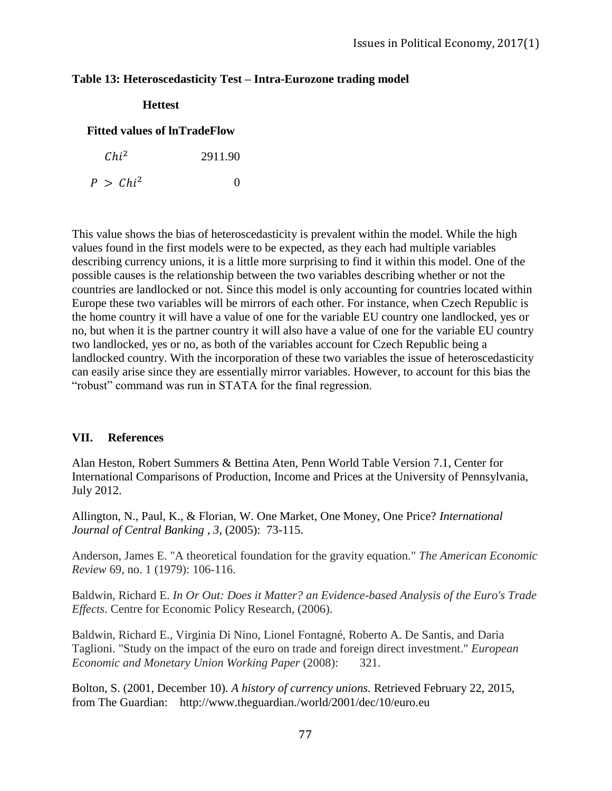#### **Table 13: Heteroscedasticity Test – Intra-Eurozone trading model**

**Hettest**

## **Fitted values of lnTradeFlow**

| $Chi^2$     | 2911.90  |
|-------------|----------|
| $P > Chi^2$ | $\theta$ |

This value shows the bias of heteroscedasticity is prevalent within the model. While the high values found in the first models were to be expected, as they each had multiple variables describing currency unions, it is a little more surprising to find it within this model. One of the possible causes is the relationship between the two variables describing whether or not the countries are landlocked or not. Since this model is only accounting for countries located within Europe these two variables will be mirrors of each other. For instance, when Czech Republic is the home country it will have a value of one for the variable EU country one landlocked, yes or no, but when it is the partner country it will also have a value of one for the variable EU country two landlocked, yes or no, as both of the variables account for Czech Republic being a landlocked country. With the incorporation of these two variables the issue of heteroscedasticity can easily arise since they are essentially mirror variables. However, to account for this bias the "robust" command was run in STATA for the final regression.

#### **VII. References**

Alan Heston, Robert Summers & Bettina Aten, Penn World Table Version 7.1, Center for International Comparisons of Production, Income and Prices at the University of Pennsylvania, July 2012.

Allington, N., Paul, K., & Florian, W. One Market, One Money, One Price? *International Journal of Central Banking , 3*, (2005): 73-115.

Anderson, James E. "A theoretical foundation for the gravity equation." *The American Economic Review* 69, no. 1 (1979): 106-116.

Baldwin, Richard E. *In Or Out: Does it Matter? an Evidence-based Analysis of the Euro's Trade Effects*. Centre for Economic Policy Research, (2006).

Baldwin, Richard E., Virginia Di Nino, Lionel Fontagné, Roberto A. De Santis, and Daria Taglioni. "Study on the impact of the euro on trade and foreign direct investment." *European Economic and Monetary Union Working Paper* (2008): 321.

Bolton, S. (2001, December 10). *A history of currency unions.* Retrieved February 22, 2015, from The Guardian: http://www.theguardian./world/2001/dec/10/euro.eu